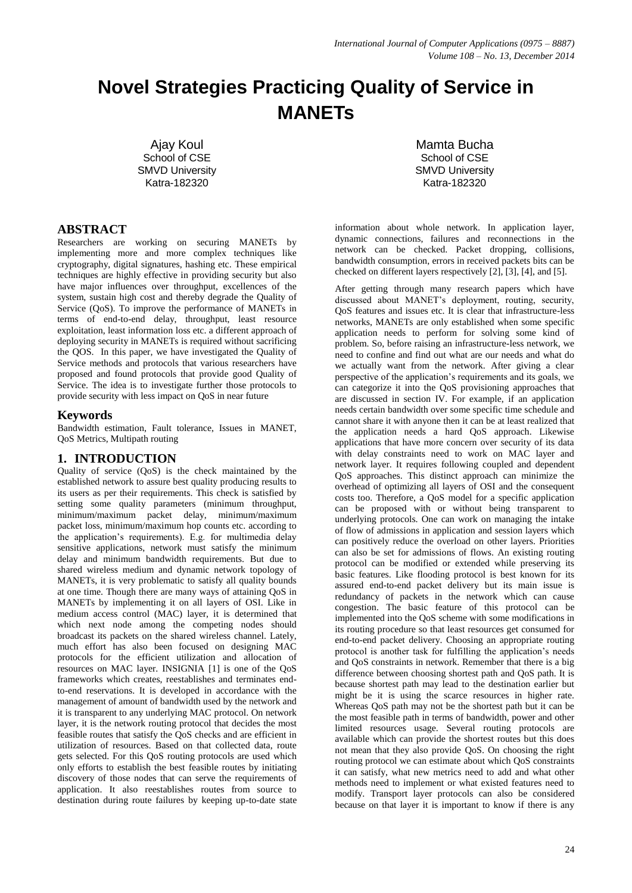# **Novel Strategies Practicing Quality of Service in MANETs**

Ajay Koul School of CSE SMVD University Katra-182320

## **ABSTRACT**

Researchers are working on securing MANETs by implementing more and more complex techniques like cryptography, digital signatures, hashing etc. These empirical techniques are highly effective in providing security but also have major influences over throughput, excellences of the system, sustain high cost and thereby degrade the Quality of Service (QoS). To improve the performance of MANETs in terms of end-to-end delay, throughput, least resource exploitation, least information loss etc. a different approach of deploying security in MANETs is required without sacrificing the QOS. In this paper, we have investigated the Quality of Service methods and protocols that various researchers have proposed and found protocols that provide good Quality of Service. The idea is to investigate further those protocols to provide security with less impact on QoS in near future

## **Keywords**

Bandwidth estimation, Fault tolerance, Issues in MANET, QoS Metrics, Multipath routing

## **1. INTRODUCTION**

Quality of service (QoS) is the check maintained by the established network to assure best quality producing results to its users as per their requirements. This check is satisfied by setting some quality parameters (minimum throughput, minimum/maximum packet delay, minimum/maximum packet loss, minimum/maximum hop counts etc. according to the application's requirements). E.g. for multimedia delay sensitive applications, network must satisfy the minimum delay and minimum bandwidth requirements. But due to shared wireless medium and dynamic network topology of MANETs, it is very problematic to satisfy all quality bounds at one time. Though there are many ways of attaining QoS in MANETs by implementing it on all layers of OSI. Like in medium access control (MAC) layer, it is determined that which next node among the competing nodes should broadcast its packets on the shared wireless channel. Lately, much effort has also been focused on designing MAC protocols for the efficient utilization and allocation of resources on MAC layer. INSIGNIA [1] is one of the QoS frameworks which creates, reestablishes and terminates endto-end reservations. It is developed in accordance with the management of amount of bandwidth used by the network and it is transparent to any underlying MAC protocol. On network layer, it is the network routing protocol that decides the most feasible routes that satisfy the QoS checks and are efficient in utilization of resources. Based on that collected data, route gets selected. For this QoS routing protocols are used which only efforts to establish the best feasible routes by initiating discovery of those nodes that can serve the requirements of application. It also reestablishes routes from source to destination during route failures by keeping up-to-date state

Mamta Bucha School of CSE SMVD University Katra-182320

information about whole network. In application layer, dynamic connections, failures and reconnections in the network can be checked. Packet dropping, collisions, bandwidth consumption, errors in received packets bits can be checked on different layers respectively [2], [3], [4], and [5].

After getting through many research papers which have discussed about MANET's deployment, routing, security, QoS features and issues etc. It is clear that infrastructure-less networks, MANETs are only established when some specific application needs to perform for solving some kind of problem. So, before raising an infrastructure-less network, we need to confine and find out what are our needs and what do we actually want from the network. After giving a clear perspective of the application's requirements and its goals, we can categorize it into the QoS provisioning approaches that are discussed in section IV. For example, if an application needs certain bandwidth over some specific time schedule and cannot share it with anyone then it can be at least realized that the application needs a hard QoS approach. Likewise applications that have more concern over security of its data with delay constraints need to work on MAC layer and network layer. It requires following coupled and dependent QoS approaches. This distinct approach can minimize the overhead of optimizing all layers of OSI and the consequent costs too. Therefore, a QoS model for a specific application can be proposed with or without being transparent to underlying protocols. One can work on managing the intake of flow of admissions in application and session layers which can positively reduce the overload on other layers. Priorities can also be set for admissions of flows. An existing routing protocol can be modified or extended while preserving its basic features. Like flooding protocol is best known for its assured end-to-end packet delivery but its main issue is redundancy of packets in the network which can cause congestion. The basic feature of this protocol can be implemented into the QoS scheme with some modifications in its routing procedure so that least resources get consumed for end-to-end packet delivery. Choosing an appropriate routing protocol is another task for fulfilling the application's needs and QoS constraints in network. Remember that there is a big difference between choosing shortest path and QoS path. It is because shortest path may lead to the destination earlier but might be it is using the scarce resources in higher rate. Whereas QoS path may not be the shortest path but it can be the most feasible path in terms of bandwidth, power and other limited resources usage. Several routing protocols are available which can provide the shortest routes but this does not mean that they also provide QoS. On choosing the right routing protocol we can estimate about which QoS constraints it can satisfy, what new metrics need to add and what other methods need to implement or what existed features need to modify. Transport layer protocols can also be considered because on that layer it is important to know if there is any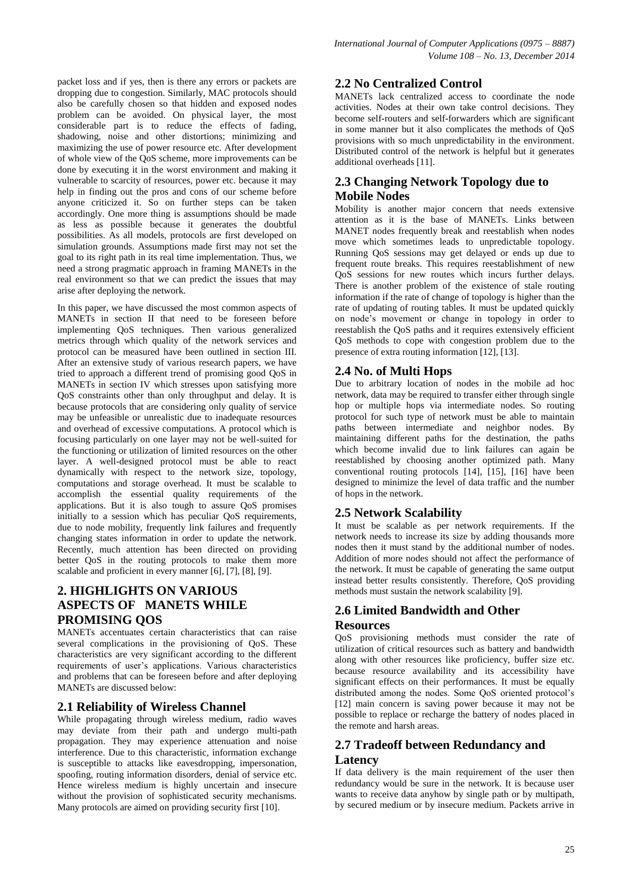packet loss and if yes, then is there any errors or packets are dropping due to congestion. Similarly, MAC protocols should also be carefully chosen so that hidden and exposed nodes problem can be avoided. On physical layer, the most considerable part is to reduce the effects of fading. shadowing, noise and other distortions; minimizing and maximizing the use of power resource etc. After development of whole view of the QoS scheme, more improvements can be done by executing it in the worst environment and making it vulnerable to scarcity of resources, power etc. because it may help in finding out the pros and cons of our scheme before anyone criticized it. So on further steps can be taken accordingly. One more thing is assumptions should be made as less as possible because it generates the doubtful possibilities. As all models, protocols are first developed on simulation grounds. Assumptions made first may not set the goal to its right path in its real time implementation. Thus, we need a strong pragmatic approach in framing MANETs in the real environment so that we can predict the issues that may arise after deploying the network.

In this paper, we have discussed the most common aspects of MANETs in section II that need to be foreseen before implementing QoS techniques. Then various generalized metrics through which quality of the network services and protocol can be measured have been outlined in section III. After an extensive study of various research papers, we have tried to approach a different trend of promising good QoS in MANETs in section IV which stresses upon satisfying more QoS constraints other than only throughput and delay. It is because protocols that are considering only quality of service may be unfeasible or unrealistic due to inadequate resources and overhead of excessive computations. A protocol which is focusing particularly on one layer may not be well-suited for the functioning or utilization of limited resources on the other layer. A well-designed protocol must be able to react dynamically with respect to the network size, topology, computations and storage overhead. It must be scalable to accomplish the essential quality requirements of the applications. But it is also tough to assure QoS promises initially to a session which has peculiar QoS requirements, due to node mobility, frequently link failures and frequently changing states information in order to update the network. Recently, much attention has been directed on providing better QoS in the routing protocols to make them more scalable and proficient in every manner [6], [7], [8], [9].

# **2. HIGHLIGHTS ON VARIOUS ASPECTS OF MANETS WHILE PROMISING QOS**

MANETs accentuates certain characteristics that can raise several complications in the provisioning of QoS. These characteristics are very significant according to the different requirements of user's applications. Various characteristics and problems that can be foreseen before and after deploying MANETs are discussed below:

## **2.1 Reliability of Wireless Channel**

While propagating through wireless medium, radio waves may deviate from their path and undergo multi-path propagation. They may experience attenuation and noise interference. Due to this characteristic, information exchange is susceptible to attacks like eavesdropping, impersonation, spoofing, routing information disorders, denial of service etc. Hence wireless medium is highly uncertain and insecure without the provision of sophisticated security mechanisms. Many protocols are aimed on providing security first [10].

## **2.2 No Centralized Control**

MANETs lack centralized access to coordinate the node activities. Nodes at their own take control decisions. They become self-routers and self-forwarders which are significant in some manner but it also complicates the methods of QoS provisions with so much unpredictability in the environment. Distributed control of the network is helpful but it generates additional overheads [11].

## **2.3 Changing Network Topology due to Mobile Nodes**

Mobility is another major concern that needs extensive attention as it is the base of MANETs. Links between MANET nodes frequently break and reestablish when nodes move which sometimes leads to unpredictable topology. Running QoS sessions may get delayed or ends up due to frequent route breaks. This requires reestablishment of new QoS sessions for new routes which incurs further delays. There is another problem of the existence of stale routing information if the rate of change of topology is higher than the rate of updating of routing tables. It must be updated quickly on node's movement or change in topology in order to reestablish the QoS paths and it requires extensively efficient QoS methods to cope with congestion problem due to the presence of extra routing information [12], [13].

## **2.4 No. of Multi Hops**

Due to arbitrary location of nodes in the mobile ad hoc network, data may be required to transfer either through single hop or multiple hops via intermediate nodes. So routing protocol for such type of network must be able to maintain paths between intermediate and neighbor nodes. By maintaining different paths for the destination, the paths which become invalid due to link failures can again be reestablished by choosing another optimized path. Many conventional routing protocols [14], [15], [16] have been designed to minimize the level of data traffic and the number of hops in the network.

## **2.5 Network Scalability**

It must be scalable as per network requirements. If the network needs to increase its size by adding thousands more nodes then it must stand by the additional number of nodes. Addition of more nodes should not affect the performance of the network. It must be capable of generating the same output instead better results consistently. Therefore, QoS providing methods must sustain the network scalability [9].

## **2.6 Limited Bandwidth and Other Resources**

QoS provisioning methods must consider the rate of utilization of critical resources such as battery and bandwidth along with other resources like proficiency, buffer size etc. because resource availability and its accessibility have significant effects on their performances. It must be equally distributed among the nodes. Some QoS oriented protocol's [12] main concern is saving power because it may not be possible to replace or recharge the battery of nodes placed in the remote and harsh areas.

## **2.7 Tradeoff between Redundancy and Latency**

If data delivery is the main requirement of the user then redundancy would be sure in the network. It is because user wants to receive data anyhow by single path or by multipath, by secured medium or by insecure medium. Packets arrive in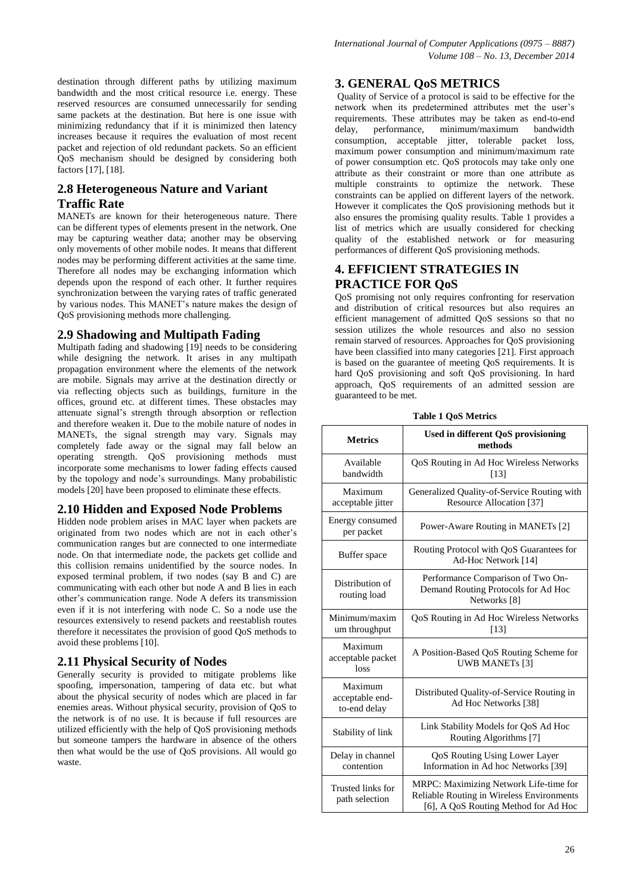destination through different paths by utilizing maximum bandwidth and the most critical resource i.e. energy. These reserved resources are consumed unnecessarily for sending same packets at the destination. But here is one issue with minimizing redundancy that if it is minimized then latency increases because it requires the evaluation of most recent packet and rejection of old redundant packets. So an efficient QoS mechanism should be designed by considering both factors [17], [18].

## **2.8 Heterogeneous Nature and Variant Traffic Rate**

MANETs are known for their heterogeneous nature. There can be different types of elements present in the network. One may be capturing weather data; another may be observing only movements of other mobile nodes. It means that different nodes may be performing different activities at the same time. Therefore all nodes may be exchanging information which depends upon the respond of each other. It further requires synchronization between the varying rates of traffic generated by various nodes. This MANET's nature makes the design of QoS provisioning methods more challenging.

## **2.9 Shadowing and Multipath Fading**

Multipath fading and shadowing [19] needs to be considering while designing the network. It arises in any multipath propagation environment where the elements of the network are mobile. Signals may arrive at the destination directly or via reflecting objects such as buildings, furniture in the offices, ground etc. at different times. These obstacles may attenuate signal's strength through absorption or reflection and therefore weaken it. Due to the mobile nature of nodes in MANETs, the signal strength may vary. Signals may completely fade away or the signal may fall below an operating strength. QoS provisioning methods must incorporate some mechanisms to lower fading effects caused by the topology and node's surroundings. Many probabilistic models [20] have been proposed to eliminate these effects.

## **2.10 Hidden and Exposed Node Problems**

Hidden node problem arises in MAC layer when packets are originated from two nodes which are not in each other's communication ranges but are connected to one intermediate node. On that intermediate node, the packets get collide and this collision remains unidentified by the source nodes. In exposed terminal problem, if two nodes (say B and C) are communicating with each other but node A and B lies in each other's communication range. Node A defers its transmission even if it is not interfering with node C. So a node use the resources extensively to resend packets and reestablish routes therefore it necessitates the provision of good QoS methods to avoid these problems [10].

### **2.11 Physical Security of Nodes**

Generally security is provided to mitigate problems like spoofing, impersonation, tampering of data etc. but what about the physical security of nodes which are placed in far enemies areas. Without physical security, provision of QoS to the network is of no use. It is because if full resources are utilized efficiently with the help of QoS provisioning methods but someone tampers the hardware in absence of the others then what would be the use of QoS provisions. All would go waste.

## **3. GENERAL QoS METRICS**

Quality of Service of a protocol is said to be effective for the network when its predetermined attributes met the user's requirements. These attributes may be taken as end-to-end delay, performance, minimum/maximum bandwidth consumption, acceptable jitter, tolerable packet loss, maximum power consumption and minimum/maximum rate of power consumption etc. QoS protocols may take only one attribute as their constraint or more than one attribute as multiple constraints to optimize the network. These constraints can be applied on different layers of the network. However it complicates the QoS provisioning methods but it also ensures the promising quality results. Table 1 provides a list of metrics which are usually considered for checking quality of the established network or for measuring performances of different QoS provisioning methods.

## **4. EFFICIENT STRATEGIES IN PRACTICE FOR QoS**

QoS promising not only requires confronting for reservation and distribution of critical resources but also requires an efficient management of admitted QoS sessions so that no session utilizes the whole resources and also no session remain starved of resources. Approaches for QoS provisioning have been classified into many categories [21]. First approach is based on the guarantee of meeting QoS requirements. It is hard QoS provisioning and soft QoS provisioning. In hard approach, QoS requirements of an admitted session are guaranteed to be met.

| <b>Metrics</b>                             | <b>Used in different QoS provisioning</b><br>methods                                                                        |  |  |  |  |
|--------------------------------------------|-----------------------------------------------------------------------------------------------------------------------------|--|--|--|--|
| Available<br>bandwidth                     | QoS Routing in Ad Hoc Wireless Networks<br>[13]                                                                             |  |  |  |  |
| Maximum<br>acceptable jitter               | Generalized Quality-of-Service Routing with<br>Resource Allocation [37]                                                     |  |  |  |  |
| Energy consumed<br>per packet              | Power-Aware Routing in MANETs [2]                                                                                           |  |  |  |  |
| Buffer space                               | Routing Protocol with QoS Guarantees for<br>Ad-Hoc Network [14]                                                             |  |  |  |  |
| Distribution of<br>routing load            | Performance Comparison of Two On-<br>Demand Routing Protocols for Ad Hoc<br>Networks <sup>[8]</sup>                         |  |  |  |  |
| Minimum/maxim<br>um throughput             | QoS Routing in Ad Hoc Wireless Networks<br>[13]                                                                             |  |  |  |  |
| Maximum<br>acceptable packet<br>loss       | A Position-Based QoS Routing Scheme for<br><b>UWB MANETs [3]</b>                                                            |  |  |  |  |
| Maximum<br>acceptable end-<br>to-end delay | Distributed Quality-of-Service Routing in<br>Ad Hoc Networks [38]                                                           |  |  |  |  |
| Stability of link                          | Link Stability Models for QoS Ad Hoc<br>Routing Algorithms [7]                                                              |  |  |  |  |
| Delay in channel<br>contention             | <b>QoS Routing Using Lower Layer</b><br>Information in Ad hoc Networks [39]                                                 |  |  |  |  |
| Trusted links for<br>path selection        | MRPC: Maximizing Network Life-time for<br>Reliable Routing in Wireless Environments<br>[6], A QoS Routing Method for Ad Hoc |  |  |  |  |

**Table 1 QoS Metrics**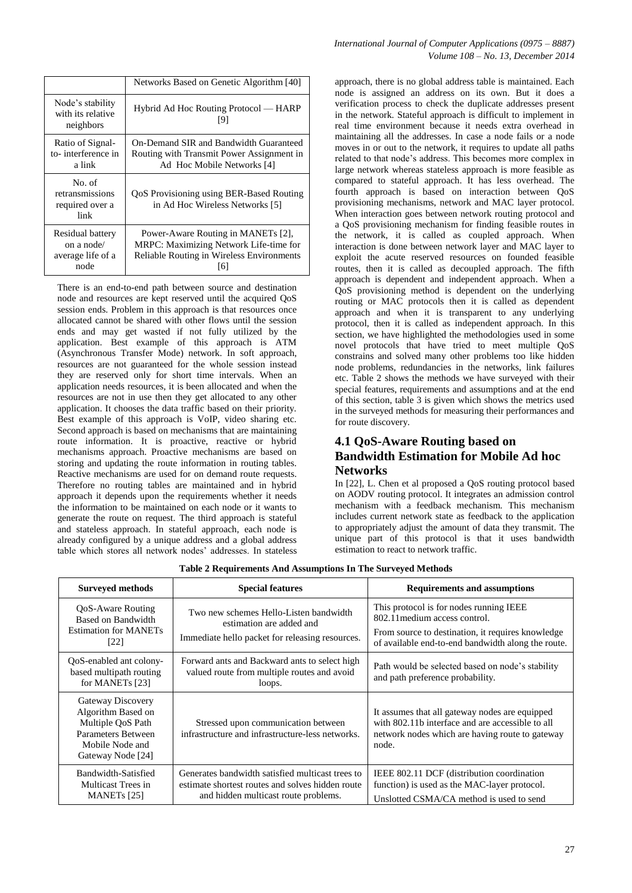|                                                             | Networks Based on Genetic Algorithm [40]                                                                                         |
|-------------------------------------------------------------|----------------------------------------------------------------------------------------------------------------------------------|
| Node's stability<br>with its relative<br>neighbors          | Hybrid Ad Hoc Routing Protocol — HARP<br>191                                                                                     |
| Ratio of Signal-<br>to-interference in<br>a link            | On-Demand SIR and Bandwidth Guaranteed<br>Routing with Transmit Power Assignment in<br>Ad Hoc Mobile Networks [4]                |
| No. of<br>retransmissions<br>required over a<br>link        | QoS Provisioning using BER-Based Routing<br>in Ad Hoc Wireless Networks [5]                                                      |
| Residual battery<br>on a node/<br>average life of a<br>node | Power-Aware Routing in MANETs [2],<br>MRPC: Maximizing Network Life-time for<br>Reliable Routing in Wireless Environments<br>161 |

There is an end-to-end path between source and destination node and resources are kept reserved until the acquired QoS session ends. Problem in this approach is that resources once allocated cannot be shared with other flows until the session ends and may get wasted if not fully utilized by the application. Best example of this approach is ATM (Asynchronous Transfer Mode) network. In soft approach, resources are not guaranteed for the whole session instead they are reserved only for short time intervals. When an application needs resources, it is been allocated and when the resources are not in use then they get allocated to any other application. It chooses the data traffic based on their priority. Best example of this approach is VoIP, video sharing etc. Second approach is based on mechanisms that are maintaining route information. It is proactive, reactive or hybrid mechanisms approach. Proactive mechanisms are based on storing and updating the route information in routing tables. Reactive mechanisms are used for on demand route requests. Therefore no routing tables are maintained and in hybrid approach it depends upon the requirements whether it needs the information to be maintained on each node or it wants to generate the route on request. The third approach is stateful and stateless approach. In stateful approach, each node is already configured by a unique address and a global address table which stores all network nodes' addresses. In stateless

approach, there is no global address table is maintained. Each node is assigned an address on its own. But it does a verification process to check the duplicate addresses present in the network. Stateful approach is difficult to implement in real time environment because it needs extra overhead in maintaining all the addresses. In case a node fails or a node moves in or out to the network, it requires to update all paths related to that node's address. This becomes more complex in large network whereas stateless approach is more feasible as compared to stateful approach. It has less overhead. The fourth approach is based on interaction between QoS provisioning mechanisms, network and MAC layer protocol. When interaction goes between network routing protocol and a QoS provisioning mechanism for finding feasible routes in the network, it is called as coupled approach. When interaction is done between network layer and MAC layer to exploit the acute reserved resources on founded feasible routes, then it is called as decoupled approach. The fifth approach is dependent and independent approach. When a QoS provisioning method is dependent on the underlying routing or MAC protocols then it is called as dependent approach and when it is transparent to any underlying protocol, then it is called as independent approach. In this section, we have highlighted the methodologies used in some novel protocols that have tried to meet multiple QoS constrains and solved many other problems too like hidden node problems, redundancies in the networks, link failures etc. Table 2 shows the methods we have surveyed with their special features, requirements and assumptions and at the end of this section, table 3 is given which shows the metrics used in the surveyed methods for measuring their performances and for route discovery.

# **4.1 QoS-Aware Routing based on Bandwidth Estimation for Mobile Ad hoc Networks**

In [22], L. Chen et al proposed a QoS routing protocol based on AODV routing protocol. It integrates an admission control mechanism with a feedback mechanism. This mechanism includes current network state as feedback to the application to appropriately adjust the amount of data they transmit. The unique part of this protocol is that it uses bandwidth estimation to react to network traffic.

| <b>Surveyed methods</b>                                                                                                    | <b>Special features</b>                                                                                                                      | <b>Requirements and assumptions</b>                                                                                                                                                 |
|----------------------------------------------------------------------------------------------------------------------------|----------------------------------------------------------------------------------------------------------------------------------------------|-------------------------------------------------------------------------------------------------------------------------------------------------------------------------------------|
| QoS-Aware Routing<br>Based on Bandwidth<br><b>Estimation for MANETs</b><br>[22]                                            | Two new schemes Hello-Listen bandwidth<br>estimation are added and<br>Immediate hello packet for releasing resources.                        | This protocol is for nodes running IEEE<br>802.11 medium access control.<br>From source to destination, it requires knowledge<br>of available end-to-end bandwidth along the route. |
| QoS-enabled ant colony-<br>based multipath routing<br>for MANET <sub>s</sub> [23]                                          | Forward ants and Backward ants to select high<br>valued route from multiple routes and avoid<br>loops.                                       | Path would be selected based on node's stability<br>and path preference probability.                                                                                                |
| Gateway Discovery<br>Algorithm Based on<br>Multiple QoS Path<br>Parameters Between<br>Mobile Node and<br>Gateway Node [24] | Stressed upon communication between<br>infrastructure and infrastructure-less networks.                                                      | It assumes that all gateway nodes are equipped<br>with 802.11b interface and are accessible to all<br>network nodes which are having route to gateway<br>node.                      |
| Bandwidth-Satisfied<br>Multicast Trees in<br>MANET <sub>s</sub> <sup>[25]</sup>                                            | Generates bandwidth satisfied multicast trees to<br>estimate shortest routes and solves hidden route<br>and hidden multicast route problems. | IEEE 802.11 DCF (distribution coordination)<br>function) is used as the MAC-layer protocol.<br>Unslotted CSMA/CA method is used to send                                             |

**Table 2 Requirements And Assumptions In The Surveyed Methods**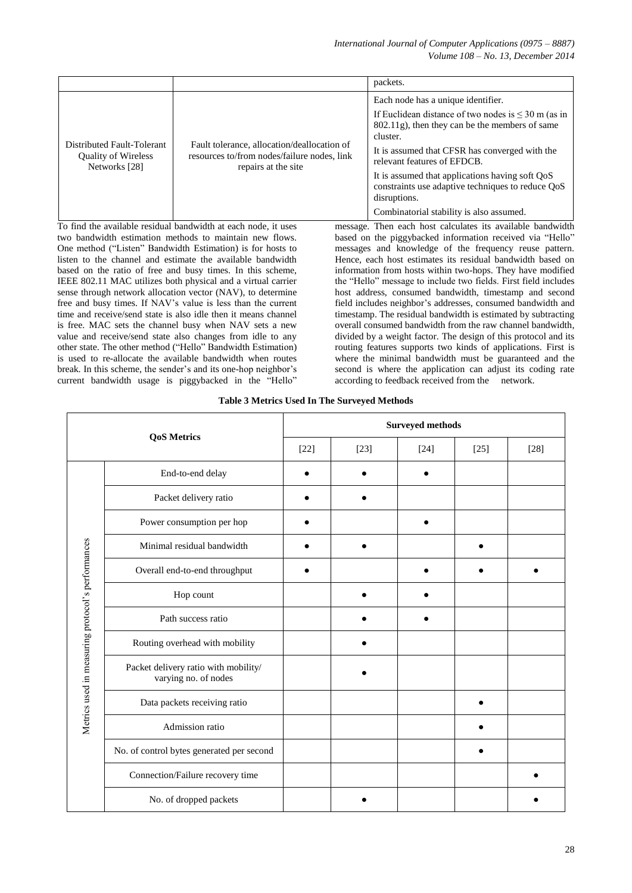|                                                                           |                                                                                                                   | packets.                                                                                                                                                                                                                                                                                                                                                                                                          |
|---------------------------------------------------------------------------|-------------------------------------------------------------------------------------------------------------------|-------------------------------------------------------------------------------------------------------------------------------------------------------------------------------------------------------------------------------------------------------------------------------------------------------------------------------------------------------------------------------------------------------------------|
| Distributed Fault-Tolerant<br><b>Quality of Wireless</b><br>Networks [28] | Fault tolerance, allocation/deallocation of<br>resources to/from nodes/failure nodes, link<br>repairs at the site | Each node has a unique identifier.<br>If Euclidean distance of two nodes is $\leq$ 30 m (as in<br>802.11g), then they can be the members of same<br>cluster.<br>It is assumed that CFSR has converged with the<br>relevant features of EFDCB.<br>It is assumed that applications having soft QoS<br>constraints use adaptive techniques to reduce QoS<br>disruptions.<br>Combinatorial stability is also assumed. |

To find the available residual bandwidth at each node, it uses two bandwidth estimation methods to maintain new flows. One method ("Listen" Bandwidth Estimation) is for hosts to listen to the channel and estimate the available bandwidth based on the ratio of free and busy times. In this scheme, IEEE 802.11 MAC utilizes both physical and a virtual carrier sense through network allocation vector (NAV), to determine free and busy times. If NAV's value is less than the current time and receive/send state is also idle then it means channel is free. MAC sets the channel busy when NAV sets a new value and receive/send state also changes from idle to any other state. The other method ("Hello" Bandwidth Estimation) is used to re-allocate the available bandwidth when routes break. In this scheme, the sender's and its one-hop neighbor's current bandwidth usage is piggybacked in the "Hello"

message. Then each host calculates its available bandwidth based on the piggybacked information received via "Hello" messages and knowledge of the frequency reuse pattern. Hence, each host estimates its residual bandwidth based on information from hosts within two-hops. They have modified the "Hello" message to include two fields. First field includes host address, consumed bandwidth, timestamp and second field includes neighbor's addresses, consumed bandwidth and timestamp. The residual bandwidth is estimated by subtracting overall consumed bandwidth from the raw channel bandwidth, divided by a weight factor. The design of this protocol and its routing features supports two kinds of applications. First is where the minimal bandwidth must be guaranteed and the second is where the application can adjust its coding rate according to feedback received from the network.

|  |  |  |  | <b>Table 3 Metrics Used In The Surveyed Methods</b> |
|--|--|--|--|-----------------------------------------------------|
|  |  |  |  |                                                     |

|                                                   |                                                                   | <b>Surveyed methods</b> |        |        |        |        |  |  |
|---------------------------------------------------|-------------------------------------------------------------------|-------------------------|--------|--------|--------|--------|--|--|
|                                                   | <b>QoS Metrics</b>                                                | $[22]$                  | $[23]$ | $[24]$ | $[25]$ | $[28]$ |  |  |
|                                                   | End-to-end delay                                                  |                         |        |        |        |        |  |  |
|                                                   | Packet delivery ratio                                             |                         |        |        |        |        |  |  |
|                                                   | Power consumption per hop                                         |                         |        |        |        |        |  |  |
|                                                   | Minimal residual bandwidth                                        |                         |        |        |        |        |  |  |
|                                                   | Overall end-to-end throughput                                     |                         |        |        |        |        |  |  |
|                                                   | Hop count                                                         |                         |        |        |        |        |  |  |
|                                                   | Path success ratio                                                |                         |        |        |        |        |  |  |
|                                                   | Routing overhead with mobility                                    |                         |        |        |        |        |  |  |
| Metrics used in measuring protocol's performances | Packet delivery ratio with mobility/ $\,$<br>varying no. of nodes |                         |        |        |        |        |  |  |
|                                                   | Data packets receiving ratio                                      |                         |        |        |        |        |  |  |
|                                                   | Admission ratio                                                   |                         |        |        |        |        |  |  |
|                                                   | No. of control bytes generated per second                         |                         |        |        |        |        |  |  |
|                                                   | Connection/Failure recovery time                                  |                         |        |        |        |        |  |  |
|                                                   | No. of dropped packets                                            |                         |        |        |        |        |  |  |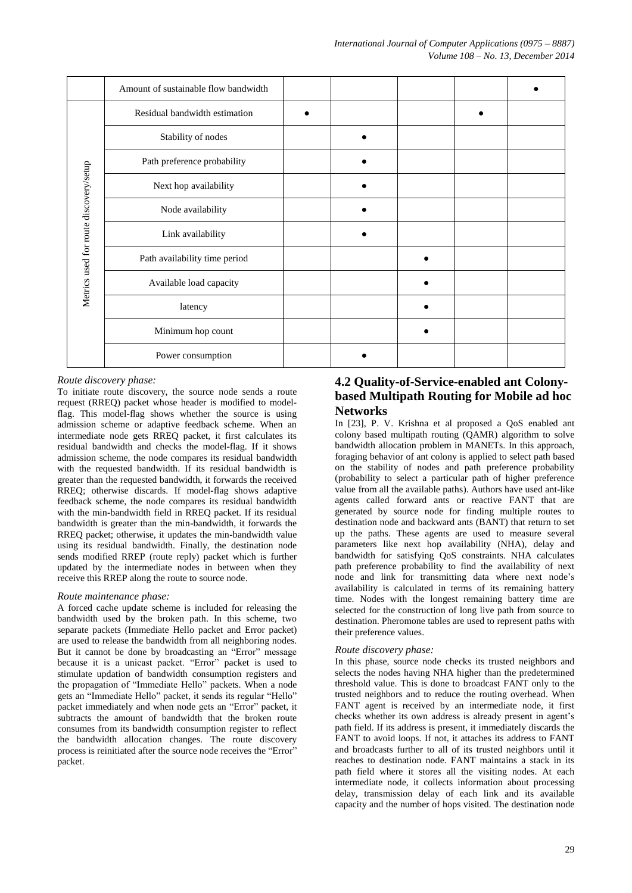|                                        | Amount of sustainable flow bandwidth |  |  |  |
|----------------------------------------|--------------------------------------|--|--|--|
|                                        | Residual bandwidth estimation        |  |  |  |
|                                        | Stability of nodes                   |  |  |  |
|                                        | Path preference probability          |  |  |  |
|                                        | Next hop availability                |  |  |  |
| Metrics used for route discovery/setup | Node availability                    |  |  |  |
|                                        | Link availability                    |  |  |  |
|                                        | Path availability time period        |  |  |  |
|                                        | Available load capacity              |  |  |  |
|                                        | latency                              |  |  |  |
|                                        | Minimum hop count                    |  |  |  |
|                                        | Power consumption                    |  |  |  |

#### *Route discovery phase:*

To initiate route discovery, the source node sends a route request (RREQ) packet whose header is modified to modelflag. This model-flag shows whether the source is using admission scheme or adaptive feedback scheme. When an intermediate node gets RREQ packet, it first calculates its residual bandwidth and checks the model-flag. If it shows admission scheme, the node compares its residual bandwidth with the requested bandwidth. If its residual bandwidth is greater than the requested bandwidth, it forwards the received RREQ; otherwise discards. If model-flag shows adaptive feedback scheme, the node compares its residual bandwidth with the min-bandwidth field in RREQ packet. If its residual bandwidth is greater than the min-bandwidth, it forwards the RREQ packet; otherwise, it updates the min-bandwidth value using its residual bandwidth. Finally, the destination node sends modified RREP (route reply) packet which is further updated by the intermediate nodes in between when they receive this RREP along the route to source node.

#### *Route maintenance phase:*

A forced cache update scheme is included for releasing the bandwidth used by the broken path. In this scheme, two separate packets (Immediate Hello packet and Error packet) are used to release the bandwidth from all neighboring nodes. But it cannot be done by broadcasting an "Error" message because it is a unicast packet. "Error" packet is used to stimulate updation of bandwidth consumption registers and the propagation of "Immediate Hello" packets. When a node gets an "Immediate Hello" packet, it sends its regular "Hello" packet immediately and when node gets an "Error" packet, it subtracts the amount of bandwidth that the broken route consumes from its bandwidth consumption register to reflect the bandwidth allocation changes. The route discovery process is reinitiated after the source node receives the "Error" packet.

# **4.2 Quality-of-Service-enabled ant Colonybased Multipath Routing for Mobile ad hoc Networks**

In [23], P. V. Krishna et al proposed a QoS enabled ant colony based multipath routing (QAMR) algorithm to solve bandwidth allocation problem in MANETs. In this approach, foraging behavior of ant colony is applied to select path based on the stability of nodes and path preference probability (probability to select a particular path of higher preference value from all the available paths). Authors have used ant-like agents called forward ants or reactive FANT that are generated by source node for finding multiple routes to destination node and backward ants (BANT) that return to set up the paths. These agents are used to measure several parameters like next hop availability (NHA), delay and bandwidth for satisfying QoS constraints. NHA calculates path preference probability to find the availability of next node and link for transmitting data where next node's availability is calculated in terms of its remaining battery time. Nodes with the longest remaining battery time are selected for the construction of long live path from source to destination. Pheromone tables are used to represent paths with their preference values.

#### *Route discovery phase:*

In this phase, source node checks its trusted neighbors and selects the nodes having NHA higher than the predetermined threshold value. This is done to broadcast FANT only to the trusted neighbors and to reduce the routing overhead. When FANT agent is received by an intermediate node, it first checks whether its own address is already present in agent's path field. If its address is present, it immediately discards the FANT to avoid loops. If not, it attaches its address to FANT and broadcasts further to all of its trusted neighbors until it reaches to destination node. FANT maintains a stack in its path field where it stores all the visiting nodes. At each intermediate node, it collects information about processing delay, transmission delay of each link and its available capacity and the number of hops visited. The destination node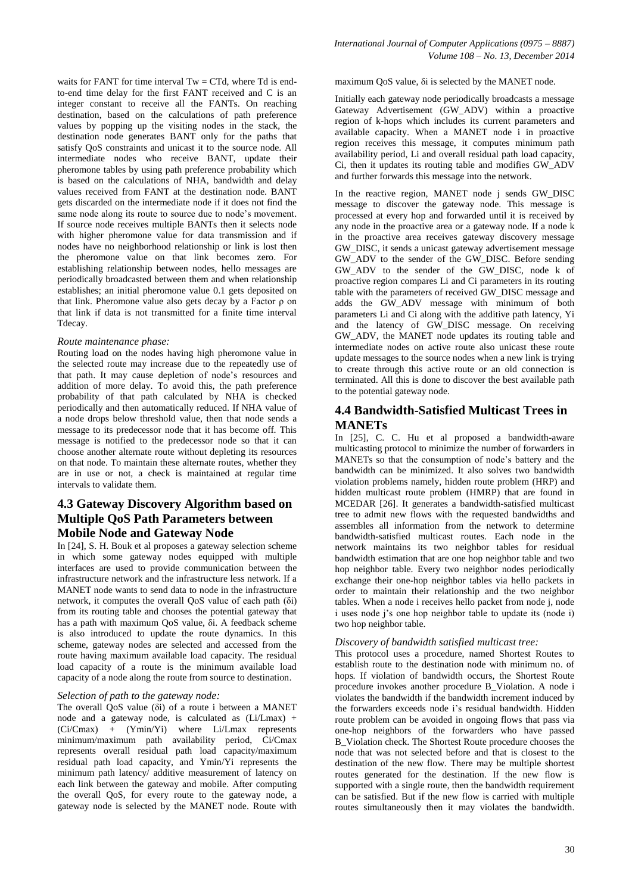waits for FANT for time interval  $Tw = CTd$ , where Td is endto-end time delay for the first FANT received and C is an integer constant to receive all the FANTs. On reaching destination, based on the calculations of path preference values by popping up the visiting nodes in the stack, the destination node generates BANT only for the paths that satisfy QoS constraints and unicast it to the source node. All intermediate nodes who receive BANT, update their pheromone tables by using path preference probability which is based on the calculations of NHA, bandwidth and delay values received from FANT at the destination node. BANT gets discarded on the intermediate node if it does not find the same node along its route to source due to node's movement. If source node receives multiple BANTs then it selects node with higher pheromone value for data transmission and if nodes have no neighborhood relationship or link is lost then the pheromone value on that link becomes zero. For establishing relationship between nodes, hello messages are periodically broadcasted between them and when relationship establishes; an initial pheromone value 0.1 gets deposited on that link. Pheromone value also gets decay by a Factor ρ on that link if data is not transmitted for a finite time interval Tdecay.

#### *Route maintenance phase:*

Routing load on the nodes having high pheromone value in the selected route may increase due to the repeatedly use of that path. It may cause depletion of node's resources and addition of more delay. To avoid this, the path preference probability of that path calculated by NHA is checked periodically and then automatically reduced. If NHA value of a node drops below threshold value, then that node sends a message to its predecessor node that it has become off. This message is notified to the predecessor node so that it can choose another alternate route without depleting its resources on that node. To maintain these alternate routes, whether they are in use or not, a check is maintained at regular time intervals to validate them.

# **4.3 Gateway Discovery Algorithm based on Multiple QoS Path Parameters between Mobile Node and Gateway Node**

In [24], S. H. Bouk et al proposes a gateway selection scheme in which some gateway nodes equipped with multiple interfaces are used to provide communication between the infrastructure network and the infrastructure less network. If a MANET node wants to send data to node in the infrastructure network, it computes the overall QoS value of each path (δi) from its routing table and chooses the potential gateway that has a path with maximum QoS value, δi. A feedback scheme is also introduced to update the route dynamics. In this scheme, gateway nodes are selected and accessed from the route having maximum available load capacity. The residual load capacity of a route is the minimum available load capacity of a node along the route from source to destination.

#### *Selection of path to the gateway node:*

The overall QoS value (δi) of a route i between a MANET node and a gateway node, is calculated as (Li/Lmax) + (Ci/Cmax) + (Ymin/Yi) where Li/Lmax represents minimum/maximum path availability period, Ci/Cmax represents overall residual path load capacity/maximum residual path load capacity, and Ymin/Yi represents the minimum path latency/ additive measurement of latency on each link between the gateway and mobile. After computing the overall QoS, for every route to the gateway node, a gateway node is selected by the MANET node. Route with

maximum QoS value, δi is selected by the MANET node.

Initially each gateway node periodically broadcasts a message Gateway Advertisement (GW\_ADV) within a proactive region of k-hops which includes its current parameters and available capacity. When a MANET node i in proactive region receives this message, it computes minimum path availability period, Li and overall residual path load capacity, Ci, then it updates its routing table and modifies GW\_ADV and further forwards this message into the network.

In the reactive region, MANET node *i* sends GW DISC message to discover the gateway node. This message is processed at every hop and forwarded until it is received by any node in the proactive area or a gateway node. If a node k in the proactive area receives gateway discovery message GW\_DISC, it sends a unicast gateway advertisement message GW\_ADV to the sender of the GW\_DISC. Before sending GW\_ADV to the sender of the GW\_DISC, node k of proactive region compares Li and Ci parameters in its routing table with the parameters of received GW\_DISC message and adds the GW\_ADV message with minimum of both parameters Li and Ci along with the additive path latency, Yi and the latency of GW\_DISC message. On receiving GW\_ADV, the MANET node updates its routing table and intermediate nodes on active route also unicast these route update messages to the source nodes when a new link is trying to create through this active route or an old connection is terminated. All this is done to discover the best available path to the potential gateway node.

## **4.4 Bandwidth-Satisfied Multicast Trees in MANETs**

In [25], C. C. Hu et al proposed a bandwidth-aware multicasting protocol to minimize the number of forwarders in MANETs so that the consumption of node's battery and the bandwidth can be minimized. It also solves two bandwidth violation problems namely, hidden route problem (HRP) and hidden multicast route problem (HMRP) that are found in MCEDAR [26]. It generates a bandwidth-satisfied multicast tree to admit new flows with the requested bandwidths and assembles all information from the network to determine bandwidth-satisfied multicast routes. Each node in the network maintains its two neighbor tables for residual bandwidth estimation that are one hop neighbor table and two hop neighbor table. Every two neighbor nodes periodically exchange their one-hop neighbor tables via hello packets in order to maintain their relationship and the two neighbor tables. When a node i receives hello packet from node j, node i uses node j's one hop neighbor table to update its (node i) two hop neighbor table.

#### *Discovery of bandwidth satisfied multicast tree:*

This protocol uses a procedure, named Shortest Routes to establish route to the destination node with minimum no. of hops. If violation of bandwidth occurs, the Shortest Route procedure invokes another procedure B\_Violation. A node i violates the bandwidth if the bandwidth increment induced by the forwarders exceeds node i's residual bandwidth. Hidden route problem can be avoided in ongoing flows that pass via one-hop neighbors of the forwarders who have passed B\_Violation check. The Shortest Route procedure chooses the node that was not selected before and that is closest to the destination of the new flow. There may be multiple shortest routes generated for the destination. If the new flow is supported with a single route, then the bandwidth requirement can be satisfied. But if the new flow is carried with multiple routes simultaneously then it may violates the bandwidth.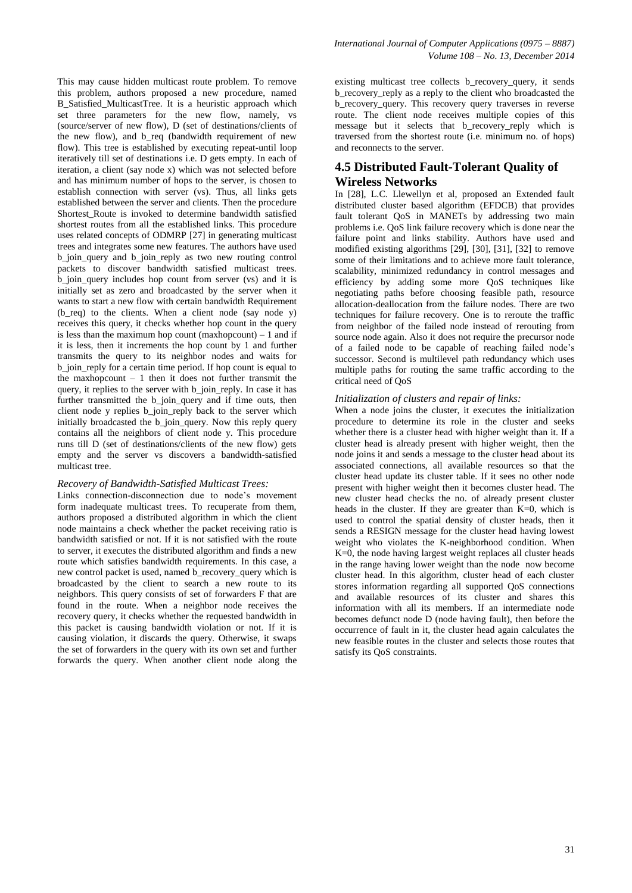This may cause hidden multicast route problem. To remove this problem, authors proposed a new procedure, named B\_Satisfied\_MulticastTree. It is a heuristic approach which set three parameters for the new flow, namely, vs (source/server of new flow), D (set of destinations/clients of the new flow), and b req (bandwidth requirement of new flow). This tree is established by executing repeat-until loop iteratively till set of destinations i.e. D gets empty. In each of iteration, a client (say node x) which was not selected before and has minimum number of hops to the server, is chosen to establish connection with server (vs). Thus, all links gets established between the server and clients. Then the procedure Shortest\_Route is invoked to determine bandwidth satisfied shortest routes from all the established links. This procedure uses related concepts of ODMRP [27] in generating multicast trees and integrates some new features. The authors have used b\_join\_query and b\_join\_reply as two new routing control packets to discover bandwidth satisfied multicast trees. b\_join\_query includes hop count from server (vs) and it is initially set as zero and broadcasted by the server when it wants to start a new flow with certain bandwidth Requirement (b req) to the clients. When a client node (say node y) receives this query, it checks whether hop count in the query is less than the maximum hop count (maxhopcount)  $-1$  and if it is less, then it increments the hop count by 1 and further transmits the query to its neighbor nodes and waits for b\_join\_reply for a certain time period. If hop count is equal to the maxhopcount  $-1$  then it does not further transmit the query, it replies to the server with b\_join\_reply. In case it has further transmitted the b\_join\_query and if time outs, then client node y replies b\_join\_reply back to the server which initially broadcasted the b\_join\_query. Now this reply query contains all the neighbors of client node y. This procedure runs till D (set of destinations/clients of the new flow) gets empty and the server vs discovers a bandwidth-satisfied multicast tree.

#### *Recovery of Bandwidth-Satisfied Multicast Trees:*

Links connection-disconnection due to node's movement form inadequate multicast trees. To recuperate from them, authors proposed a distributed algorithm in which the client node maintains a check whether the packet receiving ratio is bandwidth satisfied or not. If it is not satisfied with the route to server, it executes the distributed algorithm and finds a new route which satisfies bandwidth requirements. In this case, a new control packet is used, named b\_recovery\_query which is broadcasted by the client to search a new route to its neighbors. This query consists of set of forwarders F that are found in the route. When a neighbor node receives the recovery query, it checks whether the requested bandwidth in this packet is causing bandwidth violation or not. If it is causing violation, it discards the query. Otherwise, it swaps the set of forwarders in the query with its own set and further forwards the query. When another client node along the

existing multicast tree collects b\_recovery\_query, it sends b\_recovery\_reply as a reply to the client who broadcasted the b\_recovery\_query. This recovery query traverses in reverse route. The client node receives multiple copies of this message but it selects that b recovery reply which is traversed from the shortest route (i.e. minimum no. of hops) and reconnects to the server.

## **4.5 Distributed Fault-Tolerant Quality of Wireless Networks**

In [28], L.C. Llewellyn et al, proposed an Extended fault distributed cluster based algorithm (EFDCB) that provides fault tolerant QoS in MANETs by addressing two main problems i.e. QoS link failure recovery which is done near the failure point and links stability. Authors have used and modified existing algorithms [29], [30], [31], [32] to remove some of their limitations and to achieve more fault tolerance, scalability, minimized redundancy in control messages and efficiency by adding some more QoS techniques like negotiating paths before choosing feasible path, resource allocation-deallocation from the failure nodes. There are two techniques for failure recovery. One is to reroute the traffic from neighbor of the failed node instead of rerouting from source node again. Also it does not require the precursor node of a failed node to be capable of reaching failed node's successor. Second is multilevel path redundancy which uses multiple paths for routing the same traffic according to the critical need of QoS

#### *Initialization of clusters and repair of links:*

When a node joins the cluster, it executes the initialization procedure to determine its role in the cluster and seeks whether there is a cluster head with higher weight than it. If a cluster head is already present with higher weight, then the node joins it and sends a message to the cluster head about its associated connections, all available resources so that the cluster head update its cluster table. If it sees no other node present with higher weight then it becomes cluster head. The new cluster head checks the no. of already present cluster heads in the cluster. If they are greater than K=0, which is used to control the spatial density of cluster heads, then it sends a RESIGN message for the cluster head having lowest weight who violates the K-neighborhood condition. When K=0, the node having largest weight replaces all cluster heads in the range having lower weight than the node now become cluster head. In this algorithm, cluster head of each cluster stores information regarding all supported QoS connections and available resources of its cluster and shares this information with all its members. If an intermediate node becomes defunct node D (node having fault), then before the occurrence of fault in it, the cluster head again calculates the new feasible routes in the cluster and selects those routes that satisfy its QoS constraints.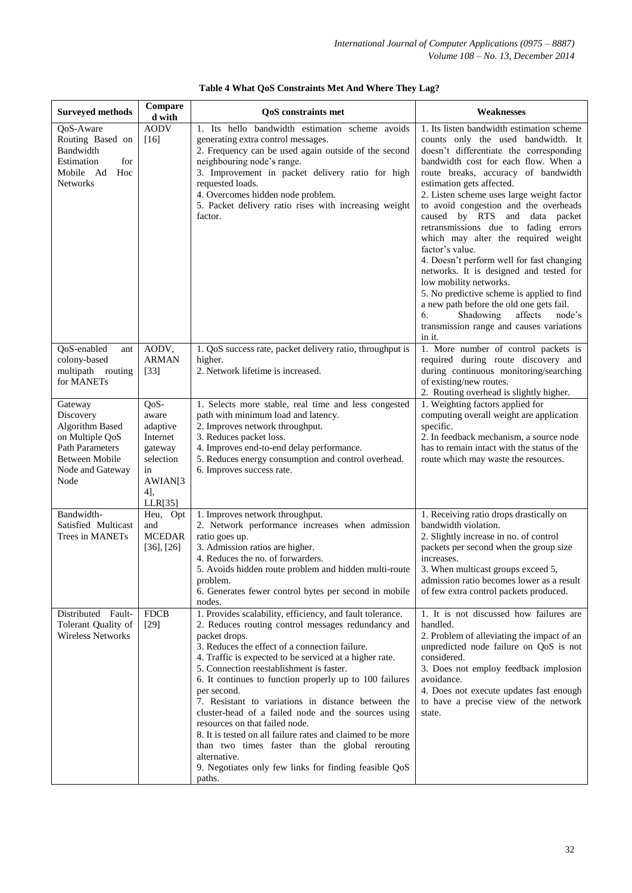| <b>Surveyed methods</b>                                                                                                                          | Compare<br>d with                                                                                | <b>QoS</b> constraints met                                                                                                                                                                                                                                                                                                                                                                                                                                                                                                                                                                                                                                                                                              | Weaknesses                                                                                                                                                                                                                                                                                                                                                                                                                                                                                                                                                                                                                                                                                                                                                                |
|--------------------------------------------------------------------------------------------------------------------------------------------------|--------------------------------------------------------------------------------------------------|-------------------------------------------------------------------------------------------------------------------------------------------------------------------------------------------------------------------------------------------------------------------------------------------------------------------------------------------------------------------------------------------------------------------------------------------------------------------------------------------------------------------------------------------------------------------------------------------------------------------------------------------------------------------------------------------------------------------------|---------------------------------------------------------------------------------------------------------------------------------------------------------------------------------------------------------------------------------------------------------------------------------------------------------------------------------------------------------------------------------------------------------------------------------------------------------------------------------------------------------------------------------------------------------------------------------------------------------------------------------------------------------------------------------------------------------------------------------------------------------------------------|
| QoS-Aware<br>Routing Based on<br>Bandwidth<br>Estimation<br>for<br>Mobile Ad Hoc<br><b>Networks</b>                                              | <b>AODV</b><br>$[16]$                                                                            | 1. Its hello bandwidth estimation scheme avoids<br>generating extra control messages.<br>2. Frequency can be used again outside of the second<br>neighbouring node's range.<br>3. Improvement in packet delivery ratio for high<br>requested loads.<br>4. Overcomes hidden node problem.<br>5. Packet delivery ratio rises with increasing weight<br>factor.                                                                                                                                                                                                                                                                                                                                                            | 1. Its listen bandwidth estimation scheme<br>counts only the used bandwidth. It<br>doesn't differentiate the corresponding<br>bandwidth cost for each flow. When a<br>route breaks, accuracy of bandwidth<br>estimation gets affected.<br>2. Listen scheme uses large weight factor<br>to avoid congestion and the overheads<br>caused by RTS and data packet<br>retransmissions due to fading errors<br>which may alter the required weight<br>factor's value.<br>4. Doesn't perform well for fast changing<br>networks. It is designed and tested for<br>low mobility networks.<br>5. No predictive scheme is applied to find<br>a new path before the old one gets fail.<br>Shadowing<br>affects<br>node's<br>6.<br>transmission range and causes variations<br>in it. |
| QoS-enabled<br>ant<br>colony-based<br>multipath<br>routing<br>for MANETs                                                                         | AODV,<br><b>ARMAN</b><br>$[33]$                                                                  | 1. QoS success rate, packet delivery ratio, throughput is<br>higher.<br>2. Network lifetime is increased.                                                                                                                                                                                                                                                                                                                                                                                                                                                                                                                                                                                                               | 1. More number of control packets is<br>required during route discovery and<br>during continuous monitoring/searching<br>of existing/new routes.<br>2. Routing overhead is slightly higher.                                                                                                                                                                                                                                                                                                                                                                                                                                                                                                                                                                               |
| Gateway<br>Discovery<br><b>Algorithm Based</b><br>on Multiple QoS<br><b>Path Parameters</b><br><b>Between Mobile</b><br>Node and Gateway<br>Node | QoS-<br>aware<br>adaptive<br>Internet<br>gateway<br>selection<br>in<br>AWIAN[3<br>4],<br>LLR[35] | 1. Selects more stable, real time and less congested<br>path with minimum load and latency.<br>2. Improves network throughput.<br>3. Reduces packet loss.<br>4. Improves end-to-end delay performance.<br>5. Reduces energy consumption and control overhead.<br>6. Improves success rate.                                                                                                                                                                                                                                                                                                                                                                                                                              | 1. Weighting factors applied for<br>computing overall weight are application<br>specific.<br>2. In feedback mechanism, a source node<br>has to remain intact with the status of the<br>route which may waste the resources.                                                                                                                                                                                                                                                                                                                                                                                                                                                                                                                                               |
| Bandwidth-<br>Satisfied Multicast<br>Trees in MANETs                                                                                             | Heu, Opt<br>and<br><b>MCEDAR</b><br>$[36]$ , $[26]$                                              | 1. Improves network throughput.<br>2. Network performance increases when admission<br>ratio goes up.<br>3. Admission ratios are higher.<br>4. Reduces the no. of forwarders.<br>5. Avoids hidden route problem and hidden multi-route<br>problem.<br>6. Generates fewer control bytes per second in mobile<br>nodes.                                                                                                                                                                                                                                                                                                                                                                                                    | 1. Receiving ratio drops drastically on<br>bandwidth violation.<br>2. Slightly increase in no. of control<br>packets per second when the group size<br>increases.<br>3. When multicast groups exceed 5,<br>admission ratio becomes lower as a result<br>of few extra control packets produced.                                                                                                                                                                                                                                                                                                                                                                                                                                                                            |
| Distributed Fault-<br>Tolerant Quality of<br><b>Wireless Networks</b>                                                                            | <b>FDCB</b><br>$[29]$                                                                            | 1. Provides scalability, efficiency, and fault tolerance.<br>2. Reduces routing control messages redundancy and<br>packet drops.<br>3. Reduces the effect of a connection failure.<br>4. Traffic is expected to be serviced at a higher rate.<br>5. Connection reestablishment is faster.<br>6. It continues to function properly up to 100 failures<br>per second.<br>7. Resistant to variations in distance between the<br>cluster-head of a failed node and the sources using<br>resources on that failed node.<br>8. It is tested on all failure rates and claimed to be more<br>than two times faster than the global rerouting<br>alternative.<br>9. Negotiates only few links for finding feasible QoS<br>paths. | 1. It is not discussed how failures are<br>handled.<br>2. Problem of alleviating the impact of an<br>unpredicted node failure on QoS is not<br>considered.<br>3. Does not employ feedback implosion<br>avoidance.<br>4. Does not execute updates fast enough<br>to have a precise view of the network<br>state.                                                                                                                                                                                                                                                                                                                                                                                                                                                           |

|  |  |  |  |  | Table 4 What QoS Constraints Met And Where They Lag? |  |  |  |  |  |
|--|--|--|--|--|------------------------------------------------------|--|--|--|--|--|
|--|--|--|--|--|------------------------------------------------------|--|--|--|--|--|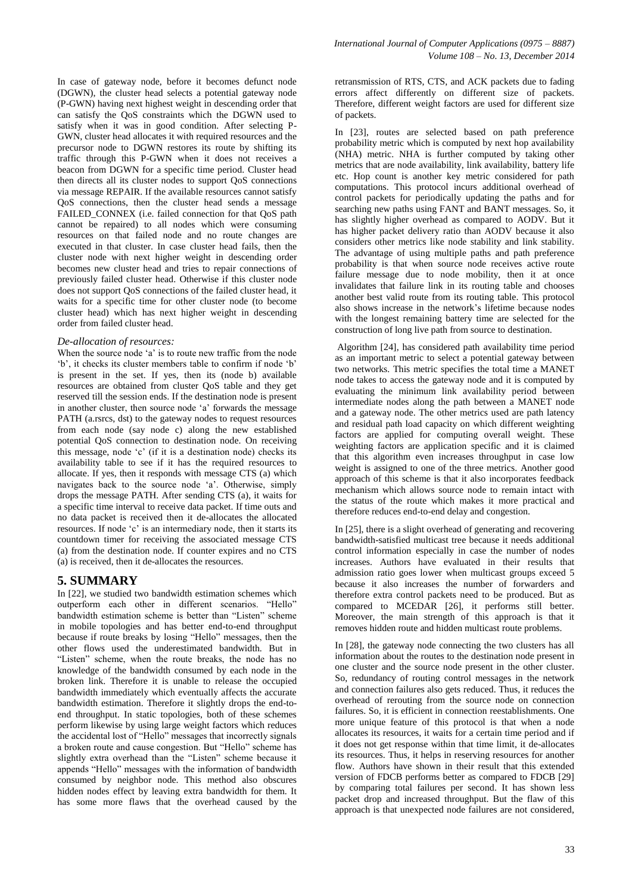In case of gateway node, before it becomes defunct node (DGWN), the cluster head selects a potential gateway node (P-GWN) having next highest weight in descending order that can satisfy the QoS constraints which the DGWN used to satisfy when it was in good condition. After selecting P-GWN, cluster head allocates it with required resources and the precursor node to DGWN restores its route by shifting its traffic through this P-GWN when it does not receives a beacon from DGWN for a specific time period. Cluster head then directs all its cluster nodes to support QoS connections via message REPAIR. If the available resources cannot satisfy QoS connections, then the cluster head sends a message FAILED\_CONNEX (i.e. failed connection for that QoS path cannot be repaired) to all nodes which were consuming resources on that failed node and no route changes are executed in that cluster. In case cluster head fails, then the cluster node with next higher weight in descending order becomes new cluster head and tries to repair connections of previously failed cluster head. Otherwise if this cluster node does not support QoS connections of the failed cluster head, it waits for a specific time for other cluster node (to become cluster head) which has next higher weight in descending order from failed cluster head.

#### *De-allocation of resources:*

When the source node 'a' is to route new traffic from the node ‗b', it checks its cluster members table to confirm if node ‗b' is present in the set. If yes, then its (node b) available resources are obtained from cluster QoS table and they get reserved till the session ends. If the destination node is present in another cluster, then source node 'a' forwards the message PATH (a.rsrcs, dst) to the gateway nodes to request resources from each node (say node c) along the new established potential QoS connection to destination node. On receiving this message, node 'c' (if it is a destination node) checks its availability table to see if it has the required resources to allocate. If yes, then it responds with message CTS (a) which navigates back to the source node 'a'. Otherwise, simply drops the message PATH. After sending CTS (a), it waits for a specific time interval to receive data packet. If time outs and no data packet is received then it de-allocates the allocated resources. If node 'c' is an intermediary node, then it starts its countdown timer for receiving the associated message CTS (a) from the destination node. If counter expires and no CTS (a) is received, then it de-allocates the resources.

#### **5. SUMMARY**

In [22], we studied two bandwidth estimation schemes which outperform each other in different scenarios. "Hello" bandwidth estimation scheme is better than "Listen" scheme in mobile topologies and has better end-to-end throughput because if route breaks by losing "Hello" messages, then the other flows used the underestimated bandwidth. But in "Listen" scheme, when the route breaks, the node has no knowledge of the bandwidth consumed by each node in the broken link. Therefore it is unable to release the occupied bandwidth immediately which eventually affects the accurate bandwidth estimation. Therefore it slightly drops the end-toend throughput. In static topologies, both of these schemes perform likewise by using large weight factors which reduces the accidental lost of "Hello" messages that incorrectly signals a broken route and cause congestion. But "Hello" scheme has slightly extra overhead than the "Listen" scheme because it appends "Hello" messages with the information of bandwidth consumed by neighbor node. This method also obscures hidden nodes effect by leaving extra bandwidth for them. It has some more flaws that the overhead caused by the retransmission of RTS, CTS, and ACK packets due to fading errors affect differently on different size of packets. Therefore, different weight factors are used for different size of packets.

In [23], routes are selected based on path preference probability metric which is computed by next hop availability (NHA) metric. NHA is further computed by taking other metrics that are node availability, link availability, battery life etc. Hop count is another key metric considered for path computations. This protocol incurs additional overhead of control packets for periodically updating the paths and for searching new paths using FANT and BANT messages. So, it has slightly higher overhead as compared to AODV. But it has higher packet delivery ratio than AODV because it also considers other metrics like node stability and link stability. The advantage of using multiple paths and path preference probability is that when source node receives active route failure message due to node mobility, then it at once invalidates that failure link in its routing table and chooses another best valid route from its routing table. This protocol also shows increase in the network's lifetime because nodes with the longest remaining battery time are selected for the construction of long live path from source to destination.

Algorithm [24], has considered path availability time period as an important metric to select a potential gateway between two networks. This metric specifies the total time a MANET node takes to access the gateway node and it is computed by evaluating the minimum link availability period between intermediate nodes along the path between a MANET node and a gateway node. The other metrics used are path latency and residual path load capacity on which different weighting factors are applied for computing overall weight. These weighting factors are application specific and it is claimed that this algorithm even increases throughput in case low weight is assigned to one of the three metrics. Another good approach of this scheme is that it also incorporates feedback mechanism which allows source node to remain intact with the status of the route which makes it more practical and therefore reduces end-to-end delay and congestion.

In [25], there is a slight overhead of generating and recovering bandwidth-satisfied multicast tree because it needs additional control information especially in case the number of nodes increases. Authors have evaluated in their results that admission ratio goes lower when multicast groups exceed 5 because it also increases the number of forwarders and therefore extra control packets need to be produced. But as compared to MCEDAR [26], it performs still better. Moreover, the main strength of this approach is that it removes hidden route and hidden multicast route problems.

In [28], the gateway node connecting the two clusters has all information about the routes to the destination node present in one cluster and the source node present in the other cluster. So, redundancy of routing control messages in the network and connection failures also gets reduced. Thus, it reduces the overhead of rerouting from the source node on connection failures. So, it is efficient in connection reestablishments. One more unique feature of this protocol is that when a node allocates its resources, it waits for a certain time period and if it does not get response within that time limit, it de-allocates its resources. Thus, it helps in reserving resources for another flow. Authors have shown in their result that this extended version of FDCB performs better as compared to FDCB [29] by comparing total failures per second. It has shown less packet drop and increased throughput. But the flaw of this approach is that unexpected node failures are not considered,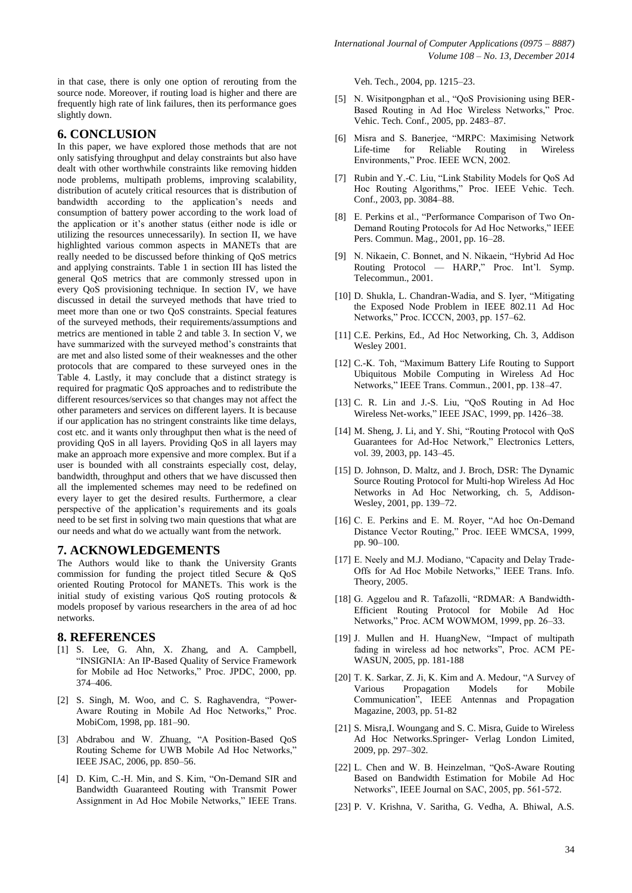in that case, there is only one option of rerouting from the source node. Moreover, if routing load is higher and there are frequently high rate of link failures, then its performance goes slightly down.

### **6. CONCLUSION**

In this paper, we have explored those methods that are not only satisfying throughput and delay constraints but also have dealt with other worthwhile constraints like removing hidden node problems, multipath problems, improving scalability, distribution of acutely critical resources that is distribution of bandwidth according to the application's needs and consumption of battery power according to the work load of the application or it's another status (either node is idle or utilizing the resources unnecessarily). In section II, we have highlighted various common aspects in MANETs that are really needed to be discussed before thinking of QoS metrics and applying constraints. Table 1 in section III has listed the general QoS metrics that are commonly stressed upon in every QoS provisioning technique. In section IV, we have discussed in detail the surveyed methods that have tried to meet more than one or two QoS constraints. Special features of the surveyed methods, their requirements/assumptions and metrics are mentioned in table 2 and table 3. In section V, we have summarized with the surveyed method's constraints that are met and also listed some of their weaknesses and the other protocols that are compared to these surveyed ones in the Table 4. Lastly, it may conclude that a distinct strategy is required for pragmatic QoS approaches and to redistribute the different resources/services so that changes may not affect the other parameters and services on different layers. It is because if our application has no stringent constraints like time delays, cost etc. and it wants only throughput then what is the need of providing QoS in all layers. Providing QoS in all layers may make an approach more expensive and more complex. But if a user is bounded with all constraints especially cost, delay, bandwidth, throughput and others that we have discussed then all the implemented schemes may need to be redefined on every layer to get the desired results. Furthermore, a clear perspective of the application's requirements and its goals need to be set first in solving two main questions that what are our needs and what do we actually want from the network.

# **7. ACKNOWLEDGEMENTS**

The Authors would like to thank the University Grants commission for funding the project titled Secure & QoS oriented Routing Protocol for MANETs. This work is the initial study of existing various QoS routing protocols & models proposef by various researchers in the area of ad hoc networks.

### **8. REFERENCES**

- [1] S. Lee, G. Ahn, X. Zhang, and A. Campbell, "INSIGNIA: An IP-Based Quality of Service Framework for Mobile ad Hoc Networks," Proc. JPDC, 2000, pp. 374–406.
- [2] S. Singh, M. Woo, and C. S. Raghavendra, "Power-Aware Routing in Mobile Ad Hoc Networks," Proc. MobiCom, 1998, pp. 181–90.
- [3] Abdrabou and W. Zhuang, "A Position-Based QoS Routing Scheme for UWB Mobile Ad Hoc Networks," IEEE JSAC, 2006, pp. 850–56.
- [4] D. Kim, C.-H. Min, and S. Kim, "On-Demand SIR and Bandwidth Guaranteed Routing with Transmit Power Assignment in Ad Hoc Mobile Networks," IEEE Trans.

Veh. Tech., 2004, pp. 1215–23.

- [5] N. Wisitpongphan et al., "QoS Provisioning using BER-Based Routing in Ad Hoc Wireless Networks," Proc. Vehic. Tech. Conf., 2005, pp. 2483–87.
- [6] Misra and S. Banerjee, "MRPC: Maximising Network Life-time for Reliable Routing in Wireless Environments," Proc. IEEE WCN, 2002.
- [7] Rubin and Y.-C. Liu, "Link Stability Models for QoS Ad Hoc Routing Algorithms," Proc. IEEE Vehic. Tech. Conf., 2003, pp. 3084–88.
- [8] E. Perkins et al., "Performance Comparison of Two On-Demand Routing Protocols for Ad Hoc Networks," IEEE Pers. Commun. Mag., 2001, pp. 16–28.
- [9] N. Nikaein, C. Bonnet, and N. Nikaein, "Hybrid Ad Hoc Routing Protocol — HARP," Proc. Int'l. Symp. Telecommun., 2001.
- [10] D. Shukla, L. Chandran-Wadia, and S. Iyer, "Mitigating the Exposed Node Problem in IEEE 802.11 Ad Hoc Networks," Proc. ICCCN, 2003, pp. 157-62.
- [11] C.E. Perkins, Ed., Ad Hoc Networking, Ch. 3, Addison Wesley 2001.
- [12] C.-K. Toh, "Maximum Battery Life Routing to Support Ubiquitous Mobile Computing in Wireless Ad Hoc Networks," IEEE Trans. Commun., 2001, pp. 138-47.
- [13] C. R. Lin and J.-S. Liu, "OoS Routing in Ad Hoc Wireless Net-works," IEEE JSAC, 1999, pp. 1426–38.
- [14] M. Sheng, J. Li, and Y. Shi, "Routing Protocol with QoS Guarantees for Ad-Hoc Network," Electronics Letters, vol. 39, 2003, pp. 143–45.
- [15] D. Johnson, D. Maltz, and J. Broch, DSR: The Dynamic Source Routing Protocol for Multi-hop Wireless Ad Hoc Networks in Ad Hoc Networking, ch. 5, Addison-Wesley, 2001, pp. 139–72.
- [16] C. E. Perkins and E. M. Royer, "Ad hoc On-Demand Distance Vector Routing," Proc. IEEE WMCSA, 1999, pp. 90–100.
- [17] E. Neely and M.J. Modiano, "Capacity and Delay Trade-Offs for Ad Hoc Mobile Networks," IEEE Trans. Info. Theory, 2005.
- [18] G. Aggelou and R. Tafazolli, "RDMAR: A Bandwidth-Efficient Routing Protocol for Mobile Ad Hoc Networks," Proc. ACM WOWMOM, 1999, pp. 26–33.
- [19] J. Mullen and H. HuangNew, "Impact of multipath fading in wireless ad hoc networks", Proc. ACM PE-WASUN, 2005, pp. 181-188
- [20] T. K. Sarkar, Z. Ji, K. Kim and A. Medour, "A Survey of Various Propagation Models for Mobile Communication", IEEE Antennas and Propagation Magazine, 2003, pp. 51-82
- [21] S. Misra, I. Woungang and S. C. Misra, Guide to Wireless Ad Hoc Networks.Springer- Verlag London Limited, 2009, pp. 297–302.
- [22] L. Chen and W. B. Heinzelman, "QoS-Aware Routing Based on Bandwidth Estimation for Mobile Ad Hoc Networks", IEEE Journal on SAC, 2005, pp. 561-572.
- [23] P. V. Krishna, V. Saritha, G. Vedha, A. Bhiwal, A.S.